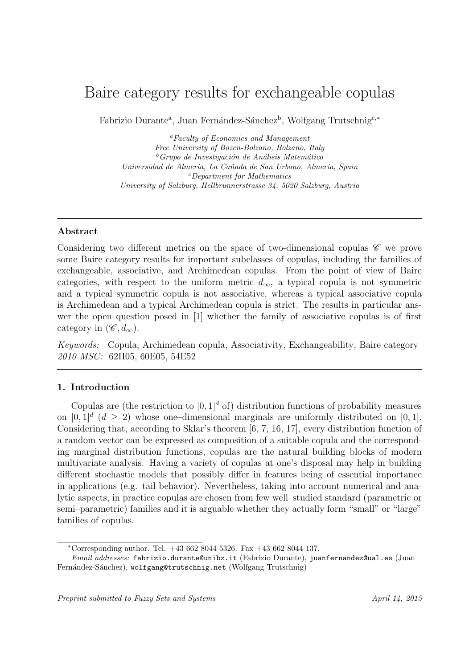# Baire category results for exchangeable copulas

Fabrizio Durante<sup>a</sup>, Juan Fernández-Sánchez<sup>b</sup>, Wolfgang Trutschnig<sup>c,∗</sup>

*<sup>a</sup>Faculty of Economics and Management Free University of Bozen-Bolzano, Bolzano, Italy* <sup>*b*</sup>Grupo de Investigación de Análisis Matemático *Universidad de Almer´ıa, La Ca˜nada de San Urbano, Almer´ıa, Spain <sup>c</sup>Department for Mathematics University of Salzburg, Hellbrunnerstrasse 34, 5020 Salzburg, Austria*

# **Abstract**

Considering two different metrics on the space of two-dimensional copulas *C* we prove some Baire category results for important subclasses of copulas, including the families of exchangeable, associative, and Archimedean copulas. From the point of view of Baire categories, with respect to the uniform metric  $d_{\infty}$ , a typical copula is not symmetric and a typical symmetric copula is not associative, whereas a typical associative copula is Archimedean and a typical Archimedean copula is strict. The results in particular answer the open question posed in [1] whether the family of associative copulas is of first category in  $(\mathscr{C}, d_{\infty})$ .

*Keywords:* Copula, Archimedean copula, Associativity, Exchangeability, Baire category *2010 MSC:* 62H05, 60E05, 54E52

# **1. Introduction**

Copulas are (the restriction to  $[0, 1]^d$  of) distribution functions of probability measures on  $[0,1]^d$  ( $d \geq 2$ ) whose one–dimensional marginals are uniformly distributed on  $[0,1]$ . Considering that, according to Sklar's theorem [6, 7, 16, 17], every distribution function of a random vector can be expressed as composition of a suitable copula and the corresponding marginal distribution functions, copulas are the natural building blocks of modern multivariate analysis. Having a variety of copulas at one's disposal may help in building different stochastic models that possibly differ in features being of essential importance in applications (e.g. tail behavior). Nevertheless, taking into account numerical and analytic aspects, in practice copulas are chosen from few well–studied standard (parametric or semi–parametric) families and it is arguable whether they actually form "small" or "large" families of copulas.

*<sup>∗</sup>*Corresponding author. Tel. +43 662 8044 5326. Fax +43 662 8044 137.

*Email addresses:* fabrizio.durante@unibz.it (Fabrizio Durante), juanfernandez@ual.es (Juan Fernández-Sánchez), wolfgang@trutschnig.net (Wolfgang Trutschnig)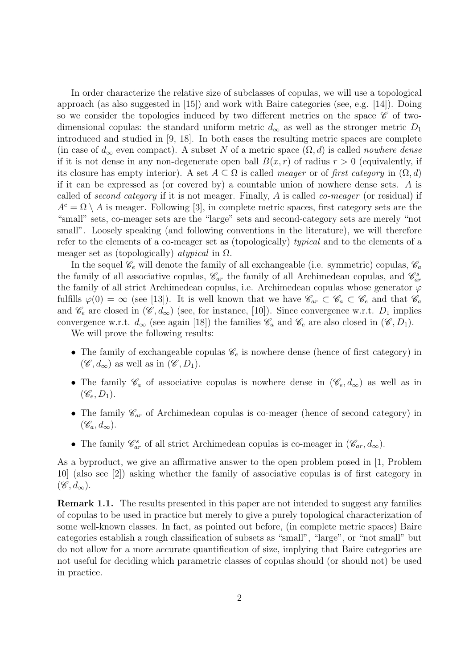In order characterize the relative size of subclasses of copulas, we will use a topological approach (as also suggested in  $(15)$ ) and work with Baire categories (see, e.g.  $(14)$ ). Doing so we consider the topologies induced by two different metrics on the space  $\mathscr C$  of twodimensional copulas: the standard uniform metric  $d_{\infty}$  as well as the stronger metric  $D_1$ introduced and studied in [9, 18]. In both cases the resulting metric spaces are complete (in case of  $d_{\infty}$  even compact). A subset *N* of a metric space  $(\Omega, d)$  is called *nowhere dense* if it is not dense in any non-degenerate open ball  $B(x, r)$  of radius  $r > 0$  (equivalently, if its closure has empty interior). A set  $A \subseteq \Omega$  is called *meager* or of *first category* in  $(\Omega, d)$ if it can be expressed as (or covered by) a countable union of nowhere dense sets. *A* is called of *second category* if it is not meager. Finally, *A* is called *co-meager* (or residual) if  $A<sup>c</sup> = \Omega \setminus A$  is meager. Following [3], in complete metric spaces, first category sets are the "small" sets, co-meager sets are the "large" sets and second-category sets are merely "not small". Loosely speaking (and following conventions in the literature), we will therefore refer to the elements of a co-meager set as (topologically) *typical* and to the elements of a meager set as (topologically) *atypical* in Ω.

In the sequel  $\mathcal{C}_e$  will denote the family of all exchangeable (i.e. symmetric) copulas,  $\mathcal{C}_a$ the family of all associative copulas,  $\mathcal{C}_{ar}$  the family of all Archimedean copulas, and  $\mathcal{C}_{ar}^s$ the family of all strict Archimedean copulas, i.e. Archimedean copulas whose generator *φ* fulfills  $\varphi(0) = \infty$  (see [13]). It is well known that we have  $\mathscr{C}_{ar} \subset \mathscr{C}_a \subset \mathscr{C}_e$  and that  $\mathscr{C}_a$ and  $\mathscr{C}_e$  are closed in  $(\mathscr{C}, d_{\infty})$  (see, for instance, [10]). Since convergence w.r.t. *D*<sub>1</sub> implies convergence w.r.t.  $d_{\infty}$  (see again [18]) the families  $\mathscr{C}_a$  and  $\mathscr{C}_e$  are also closed in  $(\mathscr{C}, D_1)$ .

We will prove the following results:

- The family of exchangeable copulas  $\mathcal{C}_e$  is nowhere dense (hence of first category) in  $(\mathscr{C}, d_{\infty})$  as well as in  $(\mathscr{C}, D_1)$ .
- The family  $\mathscr{C}_a$  of associative copulas is nowhere dense in  $(\mathscr{C}_e, d_\infty)$  as well as in  $(\mathscr{C}_e, D_1).$
- The family  $\mathscr{C}_{ar}$  of Archimedean copulas is co-meager (hence of second category) in  $(\mathscr{C}_a, d_\infty).$
- The family  $\mathcal{C}_{ar}^s$  of all strict Archimedean copulas is co-meager in  $(\mathcal{C}_{ar}, d_{\infty})$ .

As a byproduct, we give an affirmative answer to the open problem posed in [1, Problem 10] (also see [2]) asking whether the family of associative copulas is of first category in  $(\mathscr{C}, d_{\infty})$ .

**Remark 1.1.** The results presented in this paper are not intended to suggest any families of copulas to be used in practice but merely to give a purely topological characterization of some well-known classes. In fact, as pointed out before, (in complete metric spaces) Baire categories establish a rough classification of subsets as "small", "large", or "not small" but do not allow for a more accurate quantification of size, implying that Baire categories are not useful for deciding which parametric classes of copulas should (or should not) be used in practice.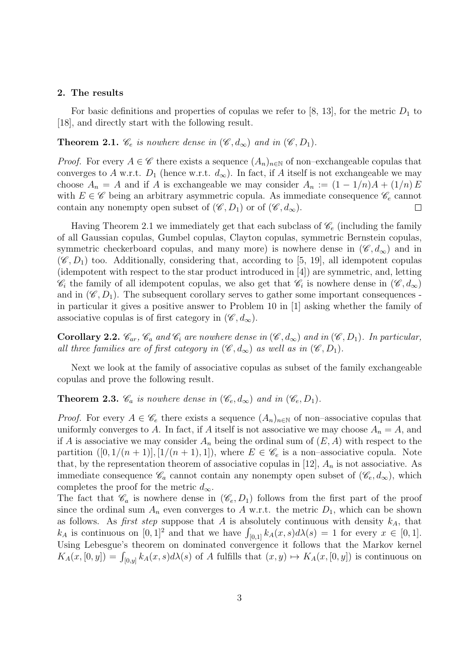#### **2. The results**

For basic definitions and properties of copulas we refer to  $[8, 13]$ , for the metric  $D_1$  to [18], and directly start with the following result.

**Theorem 2.1.**  $\mathscr{C}_e$  *is nowhere dense in*  $(\mathscr{C}, d_\infty)$  *and in*  $(\mathscr{C}, D_1)$ *.* 

*Proof.* For every  $A \in \mathscr{C}$  there exists a sequence  $(A_n)_{n \in \mathbb{N}}$  of non–exchangeable copulas that converges to *A* w.r.t.  $D_1$  (hence w.r.t.  $d_{\infty}$ ). In fact, if *A* itself is not exchangeable we may choose  $A_n = A$  and if *A* is exchangeable we may consider  $A_n := (1 - 1/n)A + (1/n)E$ with  $E \in \mathscr{C}$  being an arbitrary asymmetric copula. As immediate consequence  $\mathscr{C}_e$  cannot contain any nonempty open subset of  $(\mathscr{C}, D_1)$  or of  $(\mathscr{C}, d_\infty)$ .  $\Box$ 

Having Theorem 2.1 we immediately get that each subclass of  $\mathcal{C}_e$  (including the family of all Gaussian copulas, Gumbel copulas, Clayton copulas, symmetric Bernstein copulas, symmetric checkerboard copulas, and many more) is nowhere dense in  $(\mathscr{C}, d_{\infty})$  and in  $(\mathscr{C}, D_1)$  too. Additionally, considering that, according to [5, 19], all idempotent copulas (idempotent with respect to the star product introduced in [4]) are symmetric, and, letting  $\mathscr{C}_i$  the family of all idempotent copulas, we also get that  $\mathscr{C}_i$  is nowhere dense in  $(\mathscr{C}, d_{\infty})$ and in  $(\mathscr{C}, D_1)$ . The subsequent corollary serves to gather some important consequences in particular it gives a positive answer to Problem 10 in [1] asking whether the family of associative copulas is of first category in  $(\mathscr{C}, d_{\infty})$ .

**Corollary 2.2.**  $\mathscr{C}_{ar}$ ,  $\mathscr{C}_{a}$  and  $\mathscr{C}_{i}$  are nowhere dense in  $(\mathscr{C}, d_{\infty})$  and in  $(\mathscr{C}, D_{1})$ *. In particular, all three families are of first category in*  $(\mathscr{C}, d_{\infty})$  *as well as in*  $(\mathscr{C}, D_1)$ *.* 

Next we look at the family of associative copulas as subset of the family exchangeable copulas and prove the following result.

**Theorem 2.3.**  $\mathscr{C}_a$  *is nowhere dense in*  $(\mathscr{C}_e, d_\infty)$  *and in*  $(\mathscr{C}_e, D_1)$ *.* 

*Proof.* For every  $A \in \mathscr{C}_e$  there exists a sequence  $(A_n)_{n \in \mathbb{N}}$  of non–associative copulas that uniformly converges to *A*. In fact, if *A* itself is not associative we may choose  $A_n = A$ , and if *A* is associative we may consider  $A_n$  being the ordinal sum of  $(E, A)$  with respect to the partition  $([0, 1/(n+1)], [1/(n+1), 1])$ , where  $E \in \mathscr{C}_e$  is a non–associative copula. Note that, by the representation theorem of associative copulas in [12],  $A_n$  is not associative. As immediate consequence  $\mathscr{C}_a$  cannot contain any nonempty open subset of  $(\mathscr{C}_e, d_\infty)$ , which completes the proof for the metric  $d_{\infty}$ .

The fact that  $\mathscr{C}_a$  is nowhere dense in  $(\mathscr{C}_e, D_1)$  follows from the first part of the proof since the ordinal sum  $A_n$  even converges to  $A$  w.r.t. the metric  $D_1$ , which can be shown as follows. As *first step* suppose that *A* is absolutely continuous with density  $k_A$ , that *k<sub>A</sub>* is continuous on  $[0,1]^2$  and that we have  $\int_{[0,1]} k_A(x,s)d\lambda(s) = 1$  for every  $x \in [0,1]$ . Using Lebesgue's theorem on dominated convergence it follows that the Markov kernel  $K_A(x, [0, y]) = \int_{[0, y]} k_A(x, s) d\lambda(s)$  of *A* fulfills that  $(x, y) \mapsto K_A(x, [0, y])$  is continuous on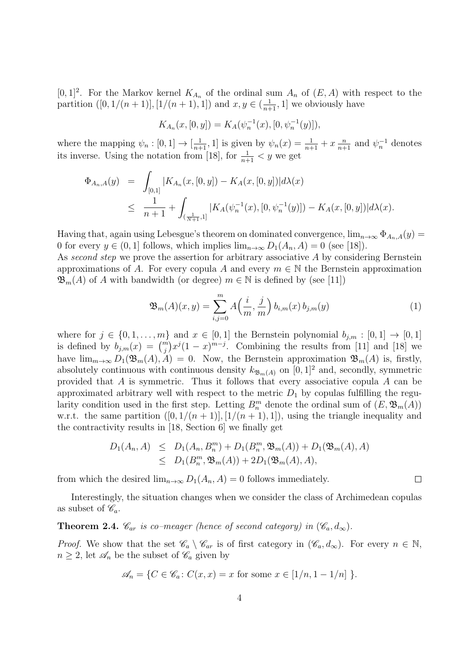$[0,1]^2$ . For the Markov kernel  $K_{A_n}$  of the ordinal sum  $A_n$  of  $(E, A)$  with respect to the partition  $([0, 1/(n+1)], [1/(n+1), 1])$  and  $x, y \in (\frac{1}{n+1}, 1]$  we obviously have

$$
K_{A_n}(x,[0,y]) = K_A(\psi_n^{-1}(x),[0,\psi_n^{-1}(y)]),
$$

where the mapping  $\psi_n : [0, 1] \to [\frac{1}{n+1}, 1]$  is given by  $\psi_n(x) = \frac{1}{n+1} + x \frac{n}{n+1}$  and  $\psi_n^{-1}$  denotes its inverse. Using the notation from [18], for  $\frac{1}{n+1} < y$  we get

$$
\Phi_{A_n,A}(y) = \int_{[0,1]} |K_{A_n}(x,[0,y]) - K_A(x,[0,y])| d\lambda(x)
$$
  
\n
$$
\leq \frac{1}{n+1} + \int_{(\frac{1}{N+1},1]} |K_A(\psi_n^{-1}(x),[0,\psi_n^{-1}(y)]) - K_A(x,[0,y])| d\lambda(x).
$$

Having that, again using Lebesgue's theorem on dominated convergence,  $\lim_{n\to\infty} \Phi_{A_n,A}(y)$ 0 for every  $y \in (0, 1]$  follows, which implies  $\lim_{n\to\infty} D_1(A_n, A) = 0$  (see [18]).

As *second step* we prove the assertion for arbitrary associative *A* by considering Bernstein approximations of *A*. For every copula *A* and every  $m \in \mathbb{N}$  the Bernstein approximation  $\mathfrak{B}_m(A)$  of *A* with bandwidth (or degree)  $m \in \mathbb{N}$  is defined by (see [11])

$$
\mathfrak{B}_{m}(A)(x,y) = \sum_{i,j=0}^{m} A\left(\frac{i}{m}, \frac{j}{m}\right) b_{i,m}(x) b_{j,m}(y) \tag{1}
$$

 $\Box$ 

where for  $j \in \{0, 1, \ldots, m\}$  and  $x \in [0, 1]$  the Bernstein polynomial  $b_{j,m} : [0, 1] \rightarrow [0, 1]$ is defined by  $b_{j,m}(x) = {m \choose j} x^j (1-x)^{m-j}$ . Combining the results from [11] and [18] we have  $\lim_{m\to\infty} D_1(\mathfrak{B}_m(A), A) = 0$ . Now, the Bernstein approximation  $\mathfrak{B}_m(A)$  is, firstly, absolutely continuous with continuous density  $k_{\mathfrak{B}_m(A)}$  on [0, 1]<sup>2</sup> and, secondly, symmetric provided that *A* is symmetric. Thus it follows that every associative copula *A* can be approximated arbitrary well with respect to the metric  $D_1$  by copulas fulfilling the regularity condition used in the first step. Letting  $B_n^m$  denote the ordinal sum of  $(E, \mathfrak{B}_m(A))$ w.r.t. the same partition  $([0, 1/(n+1)], [1/(n+1), 1])$ , using the triangle inequality and the contractivity results in [18, Section 6] we finally get

$$
D_1(A_n, A) \le D_1(A_n, B_n^m) + D_1(B_n^m, \mathfrak{B}_m(A)) + D_1(\mathfrak{B}_m(A), A)
$$
  
\n
$$
\le D_1(B_n^m, \mathfrak{B}_m(A)) + 2D_1(\mathfrak{B}_m(A), A),
$$

from which the desired  $\lim_{n\to\infty} D_1(A_n, A) = 0$  follows immediately.

Interestingly, the situation changes when we consider the class of Archimedean copulas as subset of  $\mathscr{C}_a$ .

**Theorem 2.4.**  $\mathscr{C}_{ar}$  *is co–meager (hence of second category) in*  $(\mathscr{C}_a, d_\infty)$ *.* 

*Proof.* We show that the set  $\mathscr{C}_a \setminus \mathscr{C}_{ar}$  is of first category in  $(\mathscr{C}_a, d_\infty)$ . For every  $n \in \mathbb{N}$ ,  $n \geq 2$ , let  $\mathscr{A}_n$  be the subset of  $\mathscr{C}_a$  given by

$$
\mathscr{A}_n = \{ C \in \mathscr{C}_a : C(x, x) = x \text{ for some } x \in [1/n, 1 - 1/n] \}.
$$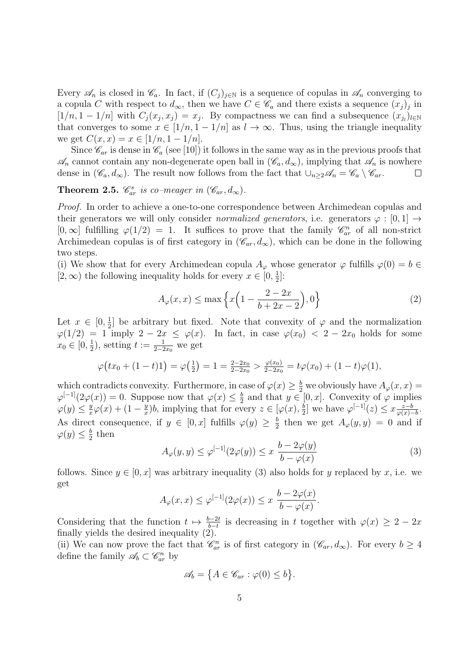Every  $\mathscr{A}_n$  is closed in  $\mathscr{C}_a$ . In fact, if  $(C_i)_{i\in\mathbb{N}}$  is a sequence of copulas in  $\mathscr{A}_n$  converging to a copula *C* with respect to  $d_{\infty}$ , then we have  $C \in \mathscr{C}_a$  and there exists a sequence  $(x_j)_j$  in  $[1/n, 1 - 1/n]$  with  $C_j(x_j, x_j) = x_j$ . By compactness we can find a subsequence  $(x_{j_l})_{l \in \mathbb{N}}$ that converges to some  $x \in [1/n, 1 - 1/n]$  as  $l \to \infty$ . Thus, using the triangle inequality we get  $C(x, x) = x \in [1/n, 1 - 1/n].$ 

Since  $\mathcal{C}_{ar}$  is dense in  $\mathcal{C}_a$  (see [10]) it follows in the same way as in the previous proofs that  $\mathscr{A}_n$  cannot contain any non-degenerate open ball in  $(\mathscr{C}_a, d_\infty)$ , implying that  $\mathscr{A}_n$  is nowhere dense in  $(\mathscr{C}_a, d_\infty)$ . The result now follows from the fact that  $\bigcup_{n>2}\mathscr{A}_n = \mathscr{C}_a \setminus \mathscr{C}_{ar}$ . dense in  $(\mathscr{C}_a, d_\infty)$ . The result now follows from the fact that  $\bigcup_{n\geq 2}\mathscr{A}_n = \mathscr{C}_a \setminus \mathscr{C}_{ar}$ .

**Theorem 2.5.**  $\mathcal{C}^s_{ar}$  is co–meager in  $(\mathcal{C}_{ar}, d_{\infty})$ .

*Proof.* In order to achieve a one-to-one correspondence between Archimedean copulas and their generators we will only consider *normalized generators*, i.e. generators  $\varphi : [0,1] \rightarrow$  $[0, \infty]$  fulfilling  $\varphi(1/2) = 1$ . It suffices to prove that the family  $\mathscr{C}_{ar}^n$  of all non-strict Archimedean copulas is of first category in  $(\mathscr{C}_{ar}, d_{\infty})$ , which can be done in the following two steps.

(i) We show that for every Archimedean copula  $A_{\varphi}$  whose generator  $\varphi$  fulfills  $\varphi(0) = b \in$ [2, ∞) the following inequality holds for every  $x \in [0, \frac{1}{2}]$  $\frac{1}{2}$ :

$$
A_{\varphi}(x,x) \le \max\left\{x\left(1 - \frac{2 - 2x}{b + 2x - 2}\right), 0\right\} \tag{2}
$$

Let  $x \in [0, \frac{1}{2}]$  $\frac{1}{2}$  be arbitrary but fixed. Note that convexity of  $\varphi$  and the normalization  $\varphi(1/2) = 1$  imply  $2 - 2x \leq \varphi(x)$ . In fact, in case  $\varphi(x_0) < 2 - 2x_0$  holds for some  $x_0 \in [0, \frac{1}{2}]$  $(\frac{1}{2})$ , setting  $t := \frac{1}{2 - 2x_0}$  we get

$$
\varphi\big(tx_0 + (1-t)1\big) = \varphi\big(\tfrac{1}{2}\big) = 1 = \tfrac{2-2x_0}{2-2x_0} > \tfrac{\varphi(x_0)}{2-2x_0} = t\varphi(x_0) + (1-t)\varphi(1),
$$

which contradicts convexity. Furthermore, in case of  $\varphi(x) \geq \frac{b}{2}$  we obviously have  $A_{\varphi}(x, x) =$  $\varphi^{[-1]}(2\varphi(x)) = 0$ . Suppose now that  $\varphi(x) \leq \frac{b}{2}$  $\frac{b}{2}$  and that  $y \in [0, x]$ . Convexity of  $\varphi$  implies  $\varphi(y) \leq \frac{y}{x}$  $\frac{y}{x}\varphi(x) + (1 - \frac{y}{x})$  $\frac{y}{x}$ )*b*, implying that for every  $z \in [\varphi(x), \frac{b}{2}]$  $\frac{b}{2}$ ] we have  $\varphi^{[-1]}(z) \leq x \frac{z-b}{\varphi(x)}$  $\frac{z-b}{\varphi(x)-b}$ . As direct consequence, if  $y \in [0, x]$  fulfills  $\varphi(y) \geq \frac{b}{2}$  $\frac{b}{2}$  then we get  $A_{\varphi}(y, y) = 0$  and if  $\varphi(y) \leq \frac{b}{2}$  $rac{b}{2}$  then

$$
A_{\varphi}(y, y) \le \varphi^{[-1]}(2\varphi(y)) \le x \frac{b - 2\varphi(y)}{b - \varphi(x)}
$$
(3)

follows. Since  $y \in [0, x]$  was arbitrary inequality (3) also holds for *y* replaced by *x*, i.e. we get

$$
A_{\varphi}(x,x) \leq \varphi^{[-1]}(2\varphi(x)) \leq x \frac{b - 2\varphi(x)}{b - \varphi(x)}.
$$

Considering that the function  $t \mapsto \frac{b-2t}{b-t}$  is decreasing in *t* together with  $\varphi(x) \geq 2-2x$ finally yields the desired inequality (2).

(ii) We can now prove the fact that  $\mathcal{C}_{ar}^n$  is of first category in  $(\mathcal{C}_{ar}, d_{\infty})$ . For every  $b \geq 4$ define the family  $\mathscr{A}_b \subset \mathscr{C}_{ar}^n$  by

$$
\mathscr{A}_b = \big\{ A \in \mathscr{C}_{ar} : \varphi(0) \le b \big\}.
$$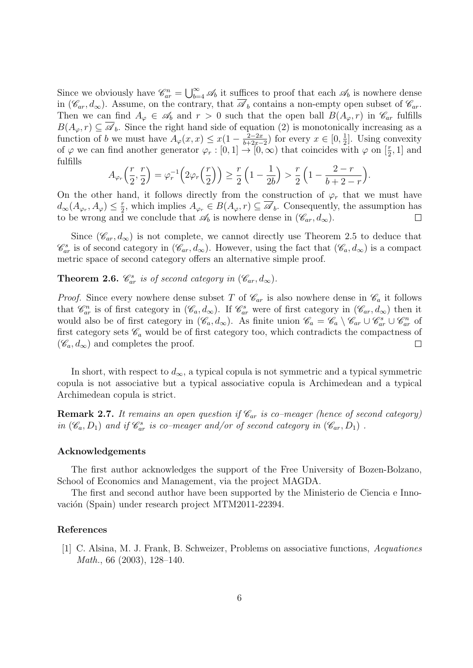Since we obviously have  $\mathscr{C}_{ar}^n = \bigcup_{b=4}^{\infty} \mathscr{A}_b$  it suffices to proof that each  $\mathscr{A}_b$  is nowhere dense in  $(\mathscr{C}_{ar}, d_{\infty})$ . Assume, on the contrary, that  $\mathscr{A}_{b}$  contains a non-empty open subset of  $\mathscr{C}_{ar}$ . Then we can find  $A_{\varphi} \in \mathscr{A}_b$  and  $r > 0$  such that the open ball  $B(A_{\varphi}, r)$  in  $\mathscr{C}_{ar}$  fulfills  $B(A_{\varphi}, r) \subseteq \overline{\mathscr{A}}_b$ . Since the right hand side of equation (2) is monotonically increasing as a function of *b* we must have  $A_{\varphi}(x, x) \leq x(1 - \frac{2-2x}{b+2x-1})$  $\frac{2-2x}{b+2x-2}$  for every  $x \in [0, \frac{1}{2}]$  $\frac{1}{2}$ . Using convexity of  $\varphi$  we can find another generator  $\varphi_r : [0,1] \to [0,\infty)$  that coincides with  $\varphi$  on  $[\frac{r}{2},1]$  and fulfills

$$
A_{\varphi_r}\left(\frac{r}{2},\frac{r}{2}\right) = \varphi_r^{-1}\left(2\varphi_r\left(\frac{r}{2}\right)\right) \ge \frac{r}{2}\left(1-\frac{1}{2b}\right) > \frac{r}{2}\left(1-\frac{2-r}{b+2-r}\right).
$$

On the other hand, it follows directly from the construction of  $\varphi_r$  that we must have  $d_{\infty}(A_{\varphi_r}, A_{\varphi}) \leq \frac{r}{2}$  $Z_{2}^{r}$ , which implies  $A_{\varphi_{r}} \in B(A_{\varphi}, r) \subseteq \mathscr{A}_{b}$ . Consequently, the assumption has to be wrong and we conclude that  $\mathscr{A}_b$  is nowhere dense in  $(\mathscr{C}_{ar}, d_\infty)$ .  $\Box$ 

Since  $(\mathscr{C}_{ar}, d_{\infty})$  is not complete, we cannot directly use Theorem 2.5 to deduce that  $\mathscr{C}^s_{ar}$  is of second category in  $(\mathscr{C}_{ar}, d_{\infty})$ . However, using the fact that  $(\mathscr{C}_a, d_{\infty})$  is a compact metric space of second category offers an alternative simple proof.

**Theorem 2.6.**  $\mathscr{C}^s_{ar}$  is of second category in  $(\mathscr{C}_{ar}, d_{\infty})$ .

*Proof.* Since every nowhere dense subset *T* of  $\mathcal{C}_{ar}$  is also nowhere dense in  $\mathcal{C}_a$  it follows that  $\mathscr{C}_{ar}^n$  is of first category in  $(\mathscr{C}_a, d_\infty)$ . If  $\mathscr{C}_{ar}^s$  were of first category in  $(\mathscr{C}_{ar}, d_\infty)$  then it would also be of first category in  $(\mathscr{C}_a, d_\infty)$ . As finite union  $\mathscr{C}_a = \mathscr{C}_a \setminus \mathscr{C}_{ar} \cup \mathscr{C}_{ar}^s \cup \mathscr{C}_{ar}^n$  of first category sets  $\mathscr{C}_a$  would be of first category too, which contradicts the compactness of  $(\mathscr{C}_a, d_\infty)$  and completes the proof.  $\Box$ 

In short, with respect to  $d_{\infty}$ , a typical copula is not symmetric and a typical symmetric copula is not associative but a typical associative copula is Archimedean and a typical Archimedean copula is strict.

**Remark 2.7.** *It remains an open question if Car is co–meager (hence of second category) in*  $(\mathscr{C}_a, D_1)$  *and if*  $\mathscr{C}^s_{ar}$  *is co–meager and/or of second category in*  $(\mathscr{C}_{ar}, D_1)$ .

### **Acknowledgements**

The first author acknowledges the support of the Free University of Bozen-Bolzano, School of Economics and Management, via the project MAGDA.

The first and second author have been supported by the Ministerio de Ciencia e Innovación (Spain) under research project MTM2011-22394.

## **References**

[1] C. Alsina, M. J. Frank, B. Schweizer, Problems on associative functions, *Aequationes Math.*, 66 (2003), 128–140.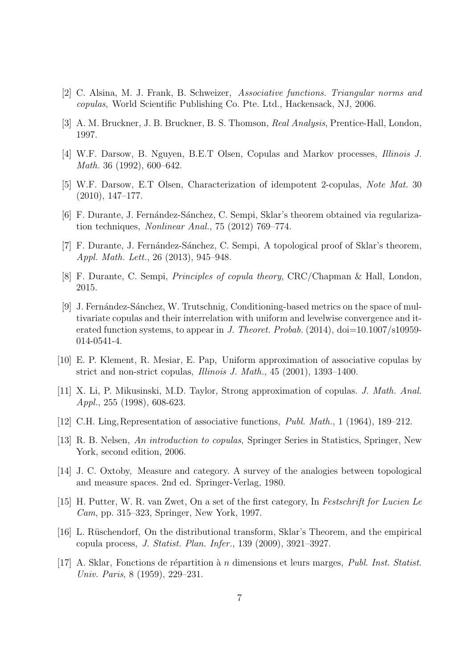- [2] C. Alsina, M. J. Frank, B. Schweizer, *Associative functions. Triangular norms and copulas*, World Scientific Publishing Co. Pte. Ltd., Hackensack, NJ, 2006.
- [3] A. M. Bruckner, J. B. Bruckner, B. S. Thomson, *Real Analysis*, Prentice-Hall, London, 1997.
- [4] W.F. Darsow, B. Nguyen, B.E.T Olsen, Copulas and Markov processes, *Illinois J. Math.* 36 (1992), 600–642.
- [5] W.F. Darsow, E.T Olsen, Characterization of idempotent 2-copulas, *Note Mat.* 30 (2010), 147–177.
- [6] F. Durante, J. Fernández-Sánchez, C. Sempi, Sklar's theorem obtained via regularization techniques, *Nonlinear Anal.*, 75 (2012) 769–774.
- [7] F. Durante, J. Fernández-Sánchez, C. Sempi, A topological proof of Sklar's theorem, *Appl. Math. Lett.*, 26 (2013), 945–948.
- [8] F. Durante, C. Sempi, *Principles of copula theory*, CRC/Chapman & Hall, London, 2015.
- [9] J. Fernández-Sánchez, W. Trutschnig, Conditioning-based metrics on the space of multivariate copulas and their interrelation with uniform and levelwise convergence and iterated function systems, to appear in *J. Theoret. Probab.* (2014), doi=10.1007/s10959-014-0541-4.
- [10] E. P. Klement, R. Mesiar, E. Pap, Uniform approximation of associative copulas by strict and non-strict copulas, *Illinois J. Math.*, 45 (2001), 1393–1400.
- [11] X. Li, P. Mikusinski, M.D. Taylor, Strong approximation of copulas. *J. Math. Anal. Appl.*, 255 (1998), 608-623.
- [12] C.H. Ling,Representation of associative functions, *Publ. Math.*, 1 (1964), 189–212.
- [13] R. B. Nelsen, *An introduction to copulas*, Springer Series in Statistics, Springer, New York, second edition, 2006.
- [14] J. C. Oxtoby, Measure and category. A survey of the analogies between topological and measure spaces. 2nd ed. Springer-Verlag, 1980.
- [15] H. Putter, W. R. van Zwet, On a set of the first category, In *Festschrift for Lucien Le Cam*, pp. 315–323, Springer, New York, 1997.
- [16] L. Rüschendorf, On the distributional transform, Sklar's Theorem, and the empirical copula process, *J. Statist. Plan. Infer.*, 139 (2009), 3921–3927.
- [17] A. Sklar, Fonctions de r´epartition `a *n* dimensions et leurs marges, *Publ. Inst. Statist. Univ. Paris*, 8 (1959), 229–231.